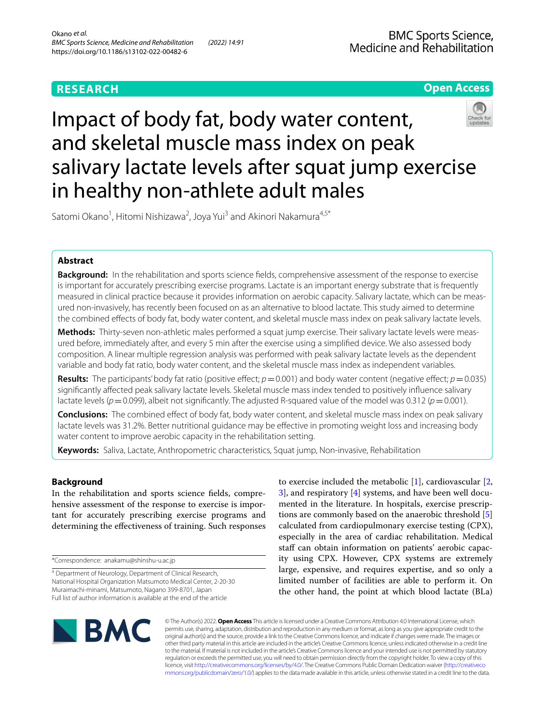## **RESEARCH**



# Impact of body fat, body water content, and skeletal muscle mass index on peak salivary lactate levels after squat jump exercise in healthy non-athlete adult males



Satomi Okano<sup>1</sup>, Hitomi Nishizawa<sup>2</sup>, Joya Yui<sup>3</sup> and Akinori Nakamura<sup>4,5\*</sup>

## **Abstract**

**Background:** In the rehabilitation and sports science felds, comprehensive assessment of the response to exercise is important for accurately prescribing exercise programs. Lactate is an important energy substrate that is frequently measured in clinical practice because it provides information on aerobic capacity. Salivary lactate, which can be measured non-invasively, has recently been focused on as an alternative to blood lactate. This study aimed to determine the combined efects of body fat, body water content, and skeletal muscle mass index on peak salivary lactate levels.

**Methods:** Thirty-seven non-athletic males performed a squat jump exercise. Their salivary lactate levels were measured before, immediately after, and every 5 min after the exercise using a simplifed device. We also assessed body composition. A linear multiple regression analysis was performed with peak salivary lactate levels as the dependent variable and body fat ratio, body water content, and the skeletal muscle mass index as independent variables.

**Results:** The participants' body fat ratio (positive effect;  $p = 0.001$ ) and body water content (negative effect;  $p = 0.035$ ) signifcantly afected peak salivary lactate levels. Skeletal muscle mass index tended to positively infuence salivary lactate levels ( $p=0.099$ ), albeit not significantly. The adjusted R-squared value of the model was 0.312 ( $p=0.001$ ).

**Conclusions:** The combined efect of body fat, body water content, and skeletal muscle mass index on peak salivary lactate levels was 31.2%. Better nutritional guidance may be efective in promoting weight loss and increasing body water content to improve aerobic capacity in the rehabilitation setting.

**Keywords:** Saliva, Lactate, Anthropometric characteristics, Squat jump, Non-invasive, Rehabilitation

## **Background**

In the rehabilitation and sports science felds, comprehensive assessment of the response to exercise is important for accurately prescribing exercise programs and determining the efectiveness of training. Such responses

\*Correspondence: anakamu@shinshu-u.ac.jp

<sup>4</sup> Department of Neurology, Department of Clinical Research, National Hospital Organization Matsumoto Medical Center, 2-20-30 Muraimachi-minami, Matsumoto, Nagano 399-8701, Japan Full list of author information is available at the end of the article

to exercise included the metabolic [[1](#page-4-0)], cardiovascular [\[2](#page-4-1), [3\]](#page-4-2), and respiratory [\[4](#page-4-3)] systems, and have been well documented in the literature. In hospitals, exercise prescriptions are commonly based on the anaerobic threshold [\[5](#page-4-4)] calculated from cardiopulmonary exercise testing (CPX), especially in the area of cardiac rehabilitation. Medical staff can obtain information on patients' aerobic capacity using CPX. However, CPX systems are extremely large, expensive, and requires expertise, and so only a limited number of facilities are able to perform it. On the other hand, the point at which blood lactate (BLa)



© The Author(s) 2022. **Open Access** This article is licensed under a Creative Commons Attribution 4.0 International License, which permits use, sharing, adaptation, distribution and reproduction in any medium or format, as long as you give appropriate credit to the original author(s) and the source, provide a link to the Creative Commons licence, and indicate if changes were made. The images or other third party material in this article are included in the article's Creative Commons licence, unless indicated otherwise in a credit line to the material. If material is not included in the article's Creative Commons licence and your intended use is not permitted by statutory regulation or exceeds the permitted use, you will need to obtain permission directly from the copyright holder. To view a copy of this licence, visit [http://creativecommons.org/licenses/by/4.0/.](http://creativecommons.org/licenses/by/4.0/) The Creative Commons Public Domain Dedication waiver ([http://creativeco](http://creativecommons.org/publicdomain/zero/1.0/) [mmons.org/publicdomain/zero/1.0/](http://creativecommons.org/publicdomain/zero/1.0/)) applies to the data made available in this article, unless otherwise stated in a credit line to the data.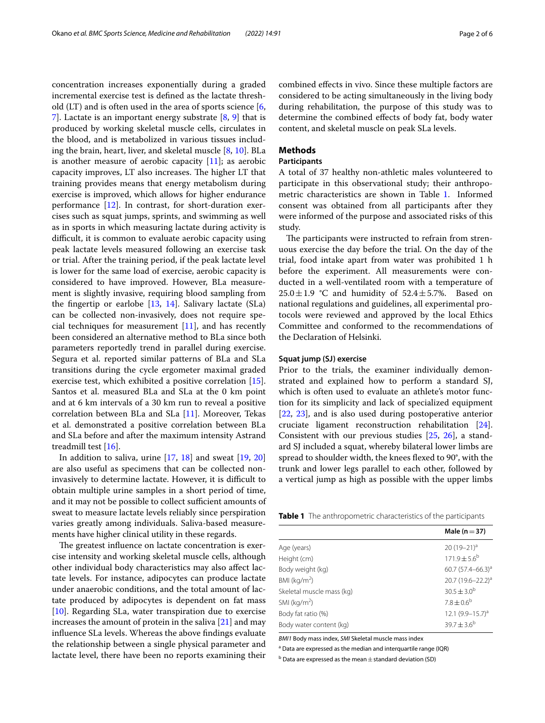concentration increases exponentially during a graded incremental exercise test is defned as the lactate threshold (LT) and is often used in the area of sports science [\[6](#page-4-5), [7\]](#page-4-6). Lactate is an important energy substrate [[8,](#page-4-7) [9\]](#page-4-8) that is produced by working skeletal muscle cells, circulates in the blood, and is metabolized in various tissues including the brain, heart, liver, and skeletal muscle [\[8,](#page-4-7) [10\]](#page-4-9). BLa is another measure of aerobic capacity  $[11]$  $[11]$ ; as aerobic capacity improves, LT also increases. The higher LT that training provides means that energy metabolism during exercise is improved, which allows for higher endurance performance [[12\]](#page-5-0). In contrast, for short-duration exercises such as squat jumps, sprints, and swimming as well as in sports in which measuring lactate during activity is difficult, it is common to evaluate aerobic capacity using peak lactate levels measured following an exercise task or trial. After the training period, if the peak lactate level is lower for the same load of exercise, aerobic capacity is considered to have improved. However, BLa measurement is slightly invasive, requiring blood sampling from the fingertip or earlobe  $[13, 14]$  $[13, 14]$  $[13, 14]$  $[13, 14]$  $[13, 14]$ . Salivary lactate (SLa) can be collected non-invasively, does not require special techniques for measurement  $[11]$  $[11]$ , and has recently been considered an alternative method to BLa since both parameters reportedly trend in parallel during exercise. Segura et al. reported similar patterns of BLa and SLa transitions during the cycle ergometer maximal graded exercise test, which exhibited a positive correlation [\[15](#page-5-3)]. Santos et al. measured BLa and SLa at the 0 km point and at 6 km intervals of a 30 km run to reveal a positive correlation between BLa and SLa [\[11\]](#page-4-10). Moreover, Tekas et al. demonstrated a positive correlation between BLa and SLa before and after the maximum intensity Astrand treadmill test [\[16](#page-5-4)].

In addition to saliva, urine  $[17, 18]$  $[17, 18]$  $[17, 18]$  and sweat  $[19, 20]$  $[19, 20]$  $[19, 20]$  $[19, 20]$ are also useful as specimens that can be collected noninvasively to determine lactate. However, it is difficult to obtain multiple urine samples in a short period of time, and it may not be possible to collect sufficient amounts of sweat to measure lactate levels reliably since perspiration varies greatly among individuals. Saliva-based measurements have higher clinical utility in these regards.

The greatest influence on lactate concentration is exercise intensity and working skeletal muscle cells, although other individual body characteristics may also afect lactate levels. For instance, adipocytes can produce lactate under anaerobic conditions, and the total amount of lactate produced by adipocytes is dependent on fat mass [[10\]](#page-4-9). Regarding SLa, water transpiration due to exercise increases the amount of protein in the saliva  $[21]$  $[21]$  and may infuence SLa levels. Whereas the above fndings evaluate the relationship between a single physical parameter and lactate level, there have been no reports examining their combined efects in vivo. Since these multiple factors are considered to be acting simultaneously in the living body during rehabilitation, the purpose of this study was to determine the combined efects of body fat, body water content, and skeletal muscle on peak SLa levels.

## **Methods**

## **Participants**

A total of 37 healthy non-athletic males volunteered to participate in this observational study; their anthropometric characteristics are shown in Table [1.](#page-1-0) Informed consent was obtained from all participants after they were informed of the purpose and associated risks of this study.

The participants were instructed to refrain from strenuous exercise the day before the trial. On the day of the trial, food intake apart from water was prohibited 1 h before the experiment. All measurements were conducted in a well-ventilated room with a temperature of  $25.0 \pm 1.9$  °C and humidity of  $52.4 \pm 5.7$ %. Based on national regulations and guidelines, all experimental protocols were reviewed and approved by the local Ethics Committee and conformed to the recommendations of the Declaration of Helsinki.

## **Squat jump (SJ) exercise**

Prior to the trials, the examiner individually demonstrated and explained how to perform a standard SJ, which is often used to evaluate an athlete's motor function for its simplicity and lack of specialized equipment [[22,](#page-5-10) [23\]](#page-5-11), and is also used during postoperative anterior cruciate ligament reconstruction rehabilitation [\[24](#page-5-12)]. Consistent with our previous studies [[25](#page-5-13), [26\]](#page-5-14), a standard SJ included a squat, whereby bilateral lower limbs are spread to shoulder width, the knees fexed to 90°, with the trunk and lower legs parallel to each other, followed by a vertical jump as high as possible with the upper limbs

<span id="page-1-0"></span>**Table 1** The anthropometric characteristics of the participants

|                           | Male $(n=37)$                 |
|---------------------------|-------------------------------|
| Age (years)               | 20 $(19-21)^a$                |
| Height (cm)               | $171.9 \pm 5.6^{\circ}$       |
| Body weight (kg)          | 60.7 $(57.4 - 66.3)^a$        |
| BMI ( $kg/m2$ )           | 20.7 (19.6-22.2) <sup>a</sup> |
| Skeletal muscle mass (kg) | $30.5 \pm 3.0^{\rm b}$        |
| SMI ( $kg/m2$ )           | $7.8 \pm 0.6^b$               |
| Body fat ratio (%)        | 12.1 $(9.9 - 15.7)^{a}$       |
| Body water content (kg)   | $39.7 \pm 3.6^{\rm b}$        |

*BMI1* Body mass index, *SMI* Skeletal muscle mass index

a Data are expressed as the median and interquartile range (IQR)

 $<sup>b</sup>$  Data are expressed as the mean  $\pm$  standard deviation (SD)</sup>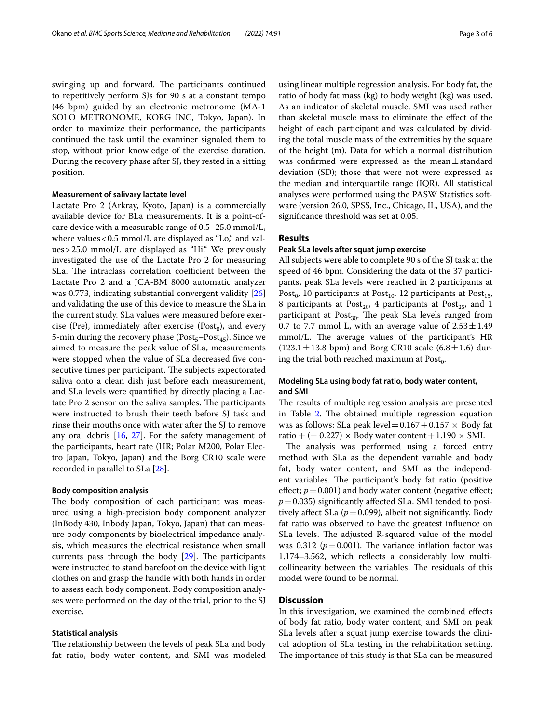swinging up and forward. The participants continued to repetitively perform SJs for 90 s at a constant tempo (46 bpm) guided by an electronic metronome (MA-1 SOLO METRONOME, KORG INC, Tokyo, Japan). In order to maximize their performance, the participants continued the task until the examiner signaled them to stop, without prior knowledge of the exercise duration. During the recovery phase after SJ, they rested in a sitting position.

#### **Measurement of salivary lactate level**

Lactate Pro 2 (Arkray, Kyoto, Japan) is a commercially available device for BLa measurements. It is a point-ofcare device with a measurable range of 0.5–25.0 mmol/L, where values  $< 0.5$  mmol/L are displayed as "Lo," and values>25.0 mmol/L are displayed as "Hi." We previously investigated the use of the Lactate Pro 2 for measuring SLa. The intraclass correlation coefficient between the Lactate Pro 2 and a JCA-BM 8000 automatic analyzer was 0.773, indicating substantial convergent validity [[26](#page-5-14)] and validating the use of this device to measure the SLa in the current study. SLa values were measured before exercise (Pre), immediately after exercise (Post<sub>0</sub>), and every 5-min during the recovery phase ( $Post<sub>45</sub>$ – $Post<sub>45</sub>$ ). Since we aimed to measure the peak value of SLa, measurements were stopped when the value of SLa decreased fve consecutive times per participant. The subjects expectorated saliva onto a clean dish just before each measurement, and SLa levels were quantifed by directly placing a Lactate Pro 2 sensor on the saliva samples. The participants were instructed to brush their teeth before SJ task and rinse their mouths once with water after the SJ to remove any oral debris [\[16](#page-5-4), [27](#page-5-15)]. For the safety management of the participants, heart rate (HR; Polar M200, Polar Electro Japan, Tokyo, Japan) and the Borg CR10 scale were recorded in parallel to SLa [[28\]](#page-5-16).

#### **Body composition analysis**

The body composition of each participant was measured using a high-precision body component analyzer (InBody 430, Inbody Japan, Tokyo, Japan) that can measure body components by bioelectrical impedance analysis, which measures the electrical resistance when small currents pass through the body  $[29]$  $[29]$  $[29]$ . The participants were instructed to stand barefoot on the device with light clothes on and grasp the handle with both hands in order to assess each body component. Body composition analyses were performed on the day of the trial, prior to the SJ exercise.

### **Statistical analysis**

The relationship between the levels of peak SLa and body fat ratio, body water content, and SMI was modeled

using linear multiple regression analysis. For body fat, the ratio of body fat mass (kg) to body weight (kg) was used. As an indicator of skeletal muscle, SMI was used rather than skeletal muscle mass to eliminate the efect of the height of each participant and was calculated by dividing the total muscle mass of the extremities by the square of the height (m). Data for which a normal distribution was confirmed were expressed as the mean $\pm$ standard deviation (SD); those that were not were expressed as the median and interquartile range (IQR). All statistical analyses were performed using the PASW Statistics software (version 26.0, SPSS, Inc., Chicago, IL, USA), and the signifcance threshold was set at 0.05.

## **Results**

## **Peak SLa levels after squat jump exercise**

All subjects were able to complete 90 s of the SJ task at the speed of 46 bpm. Considering the data of the 37 participants, peak SLa levels were reached in 2 participants at Post<sub>0</sub>, 10 participants at Post<sub>10</sub>, 12 participants at Post<sub>15</sub>, 8 participants at Post<sub>20</sub>, 4 participants at Post<sub>25</sub>, and 1 participant at  $Post_{30}$ . The peak SLa levels ranged from 0.7 to 7.7 mmol L, with an average value of  $2.53 \pm 1.49$ mmol/L. The average values of the participant's HR  $(123.1 \pm 13.8 \text{ bpm})$  and Borg CR10 scale  $(6.8 \pm 1.6)$  during the trial both reached maximum at  $Post<sub>0</sub>$ .

## **Modeling SLa using body fat ratio, body water content, and SMI**

The results of multiple regression analysis are presented in Table [2](#page-3-0). The obtained multiple regression equation was as follows: SLa peak level =  $0.167 + 0.157 \times$  Body fat ratio + (− 0.227) × Body water content + 1.190 × SMI.

The analysis was performed using a forced entry method with SLa as the dependent variable and body fat, body water content, and SMI as the independent variables. The participant's body fat ratio (positive effect;  $p = 0.001$ ) and body water content (negative effect; *p*=0.035) signifcantly afected SLa. SMI tended to positively affect SLa  $(p=0.099)$ , albeit not significantly. Body fat ratio was observed to have the greatest infuence on SLa levels. The adjusted R-squared value of the model was 0.312 ( $p = 0.001$ ). The variance inflation factor was 1.174–3.562, which refects a considerably low multicollinearity between the variables. The residuals of this model were found to be normal.

## **Discussion**

In this investigation, we examined the combined efects of body fat ratio, body water content, and SMI on peak SLa levels after a squat jump exercise towards the clinical adoption of SLa testing in the rehabilitation setting. The importance of this study is that SLa can be measured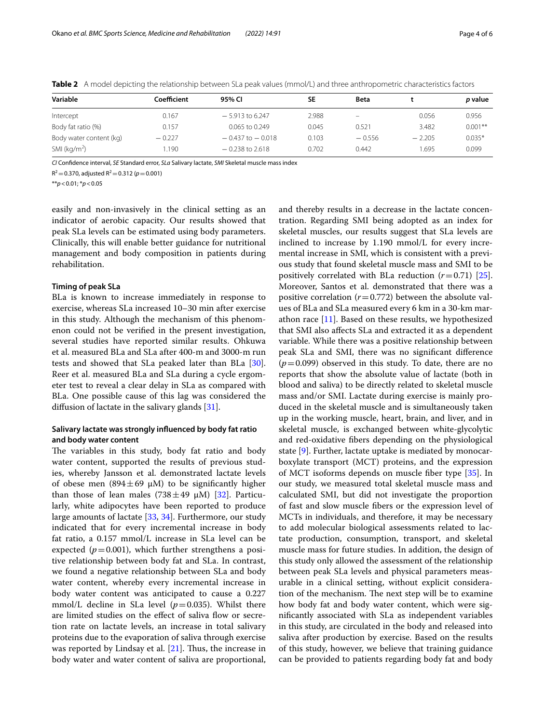| Variable                | Coefficient | 95% CI               | SΕ    | <b>Beta</b> |          | p value   |
|-------------------------|-------------|----------------------|-------|-------------|----------|-----------|
| Intercept               | 0.167       | $-5.913$ to 6.247    | 2.988 | -           | 0.056    | 0.956     |
| Body fat ratio (%)      | 0.157       | $0.065$ to 0.249     | 0.045 | 0.521       | 3.482    | $0.001**$ |
| Body water content (kg) | $-0.227$    | $-0.437$ to $-0.018$ | 0.103 | $-0.556$    | $-2.205$ | $0.035*$  |
| SMI ( $kg/m2$ )         | .190        | $-0.238$ to 2.618    | 0.702 | 0.442       | .695     | 0.099     |

<span id="page-3-0"></span>**Table 2** A model depicting the relationship between SLa peak values (mmol/L) and three anthropometric characteristics factors

*CI* Confdence interval, *SE* Standard error, *SLa* Salivary lactate, *SMI* Skeletal muscle mass index

 $R^2$  = 0.370, adjusted  $R^2$  = 0.312 ( $p$  = 0.001)

\*\**p*<0.01; \**p*<0.05

easily and non-invasively in the clinical setting as an indicator of aerobic capacity. Our results showed that peak SLa levels can be estimated using body parameters. Clinically, this will enable better guidance for nutritional management and body composition in patients during rehabilitation.

#### **Timing of peak SLa**

BLa is known to increase immediately in response to exercise, whereas SLa increased 10–30 min after exercise in this study. Although the mechanism of this phenomenon could not be verifed in the present investigation, several studies have reported similar results. Ohkuwa et al. measured BLa and SLa after 400-m and 3000-m run tests and showed that SLa peaked later than BLa [\[30](#page-5-18)]. Reer et al. measured BLa and SLa during a cycle ergometer test to reveal a clear delay in SLa as compared with BLa. One possible cause of this lag was considered the diffusion of lactate in the salivary glands [[31\]](#page-5-19).

## **Salivary lactate was strongly infuenced by body fat ratio and body water content**

The variables in this study, body fat ratio and body water content, supported the results of previous studies, whereby Jansson et al. demonstrated lactate levels of obese men (894 $\pm$ 69  $\mu$ M) to be significantly higher than those of lean males (738 $\pm$ 49  $\mu$ M) [\[32](#page-5-20)]. Particularly, white adipocytes have been reported to produce large amounts of lactate [\[33](#page-5-21), [34\]](#page-5-22). Furthermore, our study indicated that for every incremental increase in body fat ratio, a 0.157 mmol/L increase in SLa level can be expected  $(p=0.001)$ , which further strengthens a positive relationship between body fat and SLa. In contrast, we found a negative relationship between SLa and body water content, whereby every incremental increase in body water content was anticipated to cause a 0.227 mmol/L decline in SLa level  $(p=0.035)$ . Whilst there are limited studies on the effect of saliva flow or secretion rate on lactate levels, an increase in total salivary proteins due to the evaporation of saliva through exercise was reported by Lindsay et al.  $[21]$  $[21]$ . Thus, the increase in body water and water content of saliva are proportional, and thereby results in a decrease in the lactate concentration. Regarding SMI being adopted as an index for skeletal muscles, our results suggest that SLa levels are inclined to increase by 1.190 mmol/L for every incremental increase in SMI, which is consistent with a previous study that found skeletal muscle mass and SMI to be positively correlated with BLa reduction  $(r=0.71)$  [\[25](#page-5-13)]. Moreover, Santos et al. demonstrated that there was a positive correlation  $(r=0.772)$  between the absolute values of BLa and SLa measured every 6 km in a 30-km marathon race [\[11](#page-4-10)]. Based on these results, we hypothesized that SMI also afects SLa and extracted it as a dependent variable. While there was a positive relationship between peak SLa and SMI, there was no signifcant diference  $(p=0.099)$  observed in this study. To date, there are no reports that show the absolute value of lactate (both in blood and saliva) to be directly related to skeletal muscle mass and/or SMI. Lactate during exercise is mainly produced in the skeletal muscle and is simultaneously taken up in the working muscle, heart, brain, and liver, and in skeletal muscle, is exchanged between white-glycolytic and red-oxidative fbers depending on the physiological state [[9](#page-4-8)]. Further, lactate uptake is mediated by monocarboxylate transport (MCT) proteins, and the expression of MCT isoforms depends on muscle fber type [\[35](#page-5-23)]. In our study, we measured total skeletal muscle mass and calculated SMI, but did not investigate the proportion of fast and slow muscle fbers or the expression level of MCTs in individuals, and therefore, it may be necessary to add molecular biological assessments related to lactate production, consumption, transport, and skeletal muscle mass for future studies. In addition, the design of this study only allowed the assessment of the relationship between peak SLa levels and physical parameters measurable in a clinical setting, without explicit consideration of the mechanism. The next step will be to examine how body fat and body water content, which were signifcantly associated with SLa as independent variables in this study, are circulated in the body and released into saliva after production by exercise. Based on the results of this study, however, we believe that training guidance can be provided to patients regarding body fat and body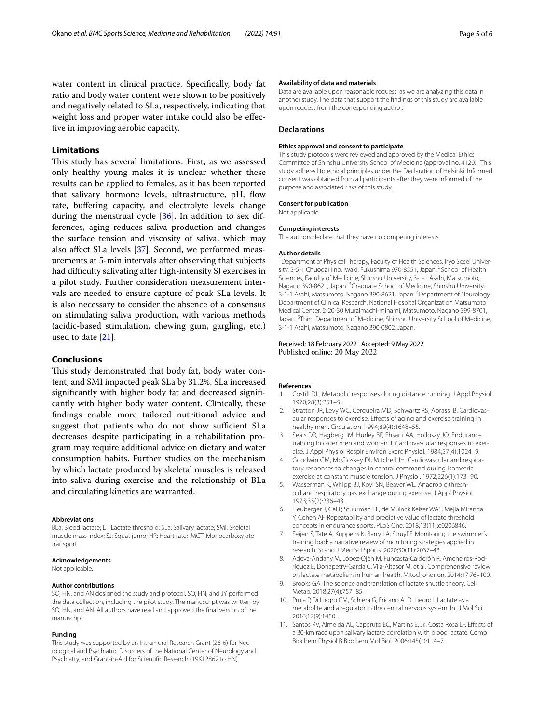water content in clinical practice. Specifcally, body fat ratio and body water content were shown to be positively and negatively related to SLa, respectively, indicating that weight loss and proper water intake could also be efective in improving aerobic capacity.

## **Limitations**

This study has several limitations. First, as we assessed only healthy young males it is unclear whether these results can be applied to females, as it has been reported that salivary hormone levels, ultrastructure, pH, fow rate, bufering capacity, and electrolyte levels change during the menstrual cycle [\[36](#page-5-24)]. In addition to sex differences, aging reduces saliva production and changes the surface tension and viscosity of saliva, which may also afect SLa levels [[37](#page-5-25)]. Second, we performed measurements at 5-min intervals after observing that subjects had difficulty salivating after high-intensity SJ exercises in a pilot study. Further consideration measurement intervals are needed to ensure capture of peak SLa levels. It is also necessary to consider the absence of a consensus on stimulating saliva production, with various methods (acidic-based stimulation, chewing gum, gargling, etc.) used to date [[21](#page-5-9)].

## **Conclusions**

This study demonstrated that body fat, body water content, and SMI impacted peak SLa by 31.2%. SLa increased signifcantly with higher body fat and decreased signifcantly with higher body water content. Clinically, these fndings enable more tailored nutritional advice and suggest that patients who do not show sufficient SLa decreases despite participating in a rehabilitation program may require additional advice on dietary and water consumption habits. Further studies on the mechanism by which lactate produced by skeletal muscles is released into saliva during exercise and the relationship of BLa and circulating kinetics are warranted.

#### **Abbreviations**

BLa: Blood lactate; LT: Lactate threshold; SLa: Salivary lactate; SMI: Skeletal muscle mass index; SJ: Squat jump; HR: Heart rate; MCT: Monocarboxylate transport.

#### **Acknowledgements**

Not applicable.

#### **Author contributions**

SO, HN, and AN designed the study and protocol. SO, HN, and JY performed the data collection, including the pilot study. The manuscript was written by SO, HN, and AN. All authors have read and approved the fnal version of the manuscript.

#### **Funding**

This study was supported by an Intramural Research Grant (26-6) for Neurological and Psychiatric Disorders of the National Center of Neurology and Psychiatry, and Grant-in-Aid for Scientifc Research (19K12862 to HN).

#### **Availability of data and materials**

Data are available upon reasonable request, as we are analyzing this data in another study. The data that support the fndings of this study are available upon request from the corresponding author.

#### **Declarations**

#### **Ethics approval and consent to participate**

This study protocols were reviewed and approved by the Medical Ethics Committee of Shinshu University School of Medicine (approval no. 4120). This study adhered to ethical principles under the Declaration of Helsinki. Informed consent was obtained from all participants after they were informed of the purpose and associated risks of this study.

#### **Consent for publication**

Not applicable.

#### **Competing interests**

The authors declare that they have no competing interests.

#### **Author details**

<sup>1</sup> Department of Physical Therapy, Faculty of Health Sciences, Iryo Sosei University, 5-5-1 Chuodai lino, Iwaki, Fukushima 970-8551, Japan. <sup>2</sup> School of Health Sciences, Faculty of Medicine, Shinshu University, 3-1-1 Asahi, Matsumoto, Nagano 390-8621, Japan. <sup>3</sup> Graduate School of Medicine, Shinshu University, 3-1-1 Asahi, Matsumoto, Nagano 390-8621, Japan. <sup>4</sup> Department of Neurology, Department of Clinical Research, National Hospital Organization Matsumoto Medical Center, 2-20-30 Muraimachi-minami, Matsumoto, Nagano 399-8701, Japan.<sup>5</sup> Third Department of Medicine, Shinshu University School of Medicine, 3-1-1 Asahi, Matsumoto, Nagano 390-0802, Japan.

#### Received: 18 February 2022 Accepted: 9 May 2022 Published online: 20 May 2022

#### **References**

- <span id="page-4-0"></span>1. Costill DL. Metabolic responses during distance running. J Appl Physiol. 1970;28(3):251–5.
- <span id="page-4-1"></span>2. Stratton JR, Levy WC, Cerqueira MD, Schwartz RS, Abrass IB. Cardiovascular responses to exercise. Efects of aging and exercise training in healthy men. Circulation. 1994;89(4):1648–55.
- <span id="page-4-2"></span>3. Seals DR, Hagberg JM, Hurley BF, Ehsani AA, Holloszy JO. Endurance training in older men and women. I. Cardiovascular responses to exercise. J Appl Physiol Respir Environ Exerc Physiol. 1984;57(4):1024–9.
- <span id="page-4-3"></span>4. Goodwin GM, McCloskey DI, Mitchell JH. Cardiovascular and respiratory responses to changes in central command during isometric exercise at constant muscle tension. J Physiol. 1972;226(1):173–90.
- <span id="page-4-4"></span>5. Wasserman K, Whipp BJ, Koyl SN, Beaver WL. Anaerobic threshold and respiratory gas exchange during exercise. J Appl Physiol. 1973;35(2):236–43.
- <span id="page-4-5"></span>6. Heuberger J, Gal P, Stuurman FE, de Muinck Keizer WAS, Mejia Miranda Y, Cohen AF. Repeatability and predictive value of lactate threshold concepts in endurance sports. PLoS One. 2018;13(11):e0206846.
- <span id="page-4-6"></span>7. Feijen S, Tate A, Kuppens K, Barry LA, Struyf F. Monitoring the swimmer's training load: a narrative review of monitoring strategies applied in research. Scand J Med Sci Sports. 2020;30(11):2037–43.
- <span id="page-4-7"></span>8. Adeva-Andany M, López-Ojén M, Funcasta-Calderón R, Ameneiros-Rodríguez E, Donapetry-García C, Vila-Altesor M, et al. Comprehensive review on lactate metabolism in human health. Mitochondrion. 2014;17:76–100.
- <span id="page-4-8"></span>9. Brooks GA. The science and translation of lactate shuttle theory. Cell Metab. 2018;27(4):757–85.
- <span id="page-4-9"></span>10. Proia P, Di Liegro CM, Schiera G, Fricano A, Di Liegro I. Lactate as a metabolite and a regulator in the central nervous system. Int J Mol Sci. 2016;17(9):1450.
- <span id="page-4-10"></span>11. Santos RV, Almeida AL, Caperuto EC, Martins E, Jr., Costa Rosa LF. Efects of a 30-km race upon salivary lactate correlation with blood lactate. Comp Biochem Physiol B Biochem Mol Biol. 2006;145(1):114–7.